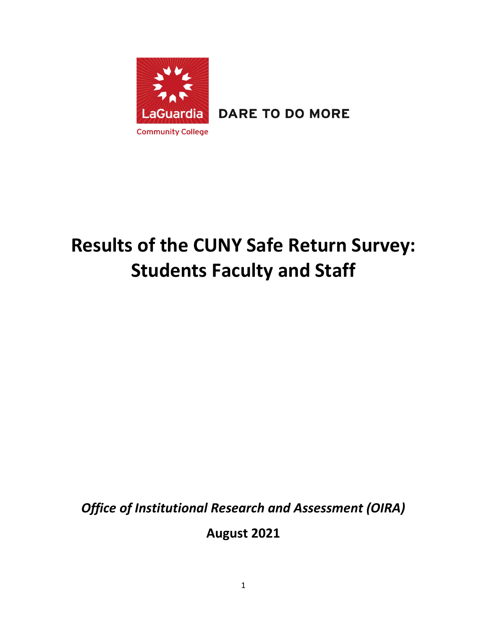

**DARE TO DO MORE** 

# **Results of the CUNY Safe Return Survey: Students Faculty and Staff**

*Office of Institutional Research and Assessment (OIRA)*

**August 2021**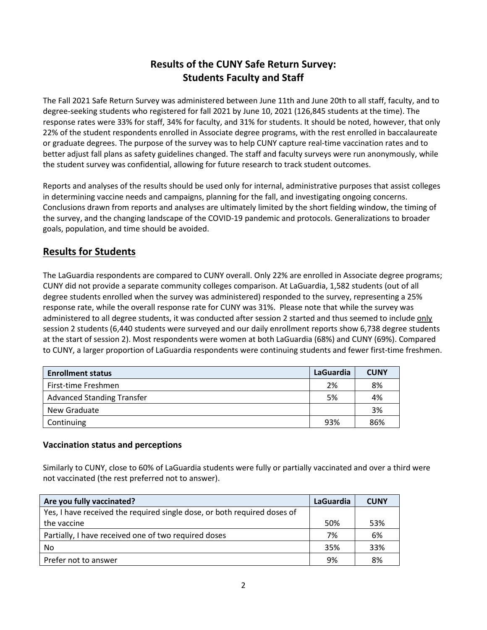# **Results of the CUNY Safe Return Survey: Students Faculty and Staff**

The Fall 2021 Safe Return Survey was administered between June 11th and June 20th to all staff, faculty, and to degree-seeking students who registered for fall 2021 by June 10, 2021 (126,845 students at the time). The response rates were 33% for staff, 34% for faculty, and 31% for students. It should be noted, however, that only 22% of the student respondents enrolled in Associate degree programs, with the rest enrolled in baccalaureate or graduate degrees. The purpose of the survey was to help CUNY capture real-time vaccination rates and to better adjust fall plans as safety guidelines changed. The staff and faculty surveys were run anonymously, while the student survey was confidential, allowing for future research to track student outcomes.

Reports and analyses of the results should be used only for internal, administrative purposes that assist colleges in determining vaccine needs and campaigns, planning for the fall, and investigating ongoing concerns. Conclusions drawn from reports and analyses are ultimately limited by the short fielding window, the timing of the survey, and the changing landscape of the COVID-19 pandemic and protocols. Generalizations to broader goals, population, and time should be avoided.

## **Results for Students**

The LaGuardia respondents are compared to CUNY overall. Only 22% are enrolled in Associate degree programs; CUNY did not provide a separate community colleges comparison. At LaGuardia, 1,582 students (out of all degree students enrolled when the survey was administered) responded to the survey, representing a 25% response rate, while the overall response rate for CUNY was 31%. Please note that while the survey was administered to all degree students, it was conducted after session 2 started and thus seemed to include only session 2 students (6,440 students were surveyed and our daily enrollment reports show 6,738 degree students at the start of session 2). Most respondents were women at both LaGuardia (68%) and CUNY (69%). Compared to CUNY, a larger proportion of LaGuardia respondents were continuing students and fewer first-time freshmen.

| <b>Enrollment status</b>          | LaGuardia | <b>CUNY</b> |
|-----------------------------------|-----------|-------------|
| First-time Freshmen               | 2%        | 8%          |
| <b>Advanced Standing Transfer</b> | 5%        | 4%          |
| New Graduate                      |           | 3%          |
| Continuing                        | 93%       | 86%         |

#### **Vaccination status and perceptions**

Similarly to CUNY, close to 60% of LaGuardia students were fully or partially vaccinated and over a third were not vaccinated (the rest preferred not to answer).

| Are you fully vaccinated?                                                | <b>LaGuardia</b> | <b>CUNY</b> |
|--------------------------------------------------------------------------|------------------|-------------|
| Yes, I have received the required single dose, or both required doses of |                  |             |
| the vaccine                                                              | 50%              | 53%         |
| Partially, I have received one of two required doses                     | 7%               | 6%          |
| No                                                                       | 35%              | 33%         |
| Prefer not to answer                                                     | 9%               | 8%          |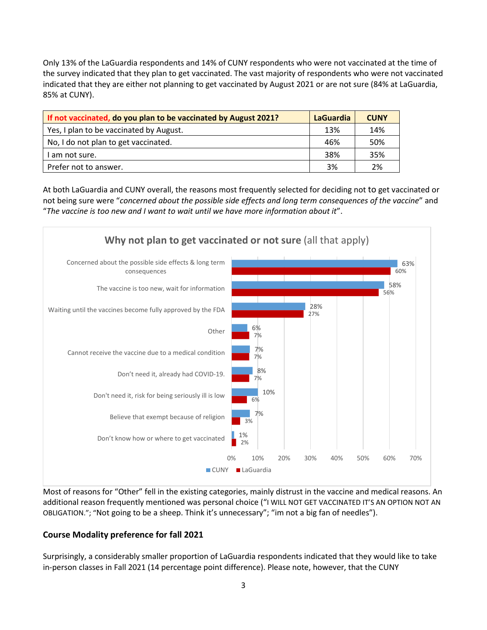Only 13% of the LaGuardia respondents and 14% of CUNY respondents who were not vaccinated at the time of the survey indicated that they plan to get vaccinated. The vast majority of respondents who were not vaccinated indicated that they are either not planning to get vaccinated by August 2021 or are not sure (84% at LaGuardia, 85% at CUNY).

| If not vaccinated, do you plan to be vaccinated by August 2021? | <b>LaGuardia</b> | <b>CUNY</b> |
|-----------------------------------------------------------------|------------------|-------------|
| Yes, I plan to be vaccinated by August.                         | 13%              | 14%         |
| No, I do not plan to get vaccinated.                            | 46%              | 50%         |
| I am not sure.                                                  | 38%              | 35%         |
| Prefer not to answer.                                           | 3%               | 2%          |

At both LaGuardia and CUNY overall, the reasons most frequently selected for deciding not to get vaccinated or not being sure were "*concerned about the possible side effects and long term consequences of the vaccine*" and "*The vaccine is too new and I want to wait until we have more information about it*".



Most of reasons for "Other" fell in the existing categories, mainly distrust in the vaccine and medical reasons. An additional reason frequently mentioned was personal choice ("I WILL NOT GET VACCINATED IT'S AN OPTION NOT AN OBLIGATION."; "Not going to be a sheep. Think it's unnecessary"; "im not a big fan of needles").

## **Course Modality preference for fall 2021**

Surprisingly, a considerably smaller proportion of LaGuardia respondents indicated that they would like to take in-person classes in Fall 2021 (14 percentage point difference). Please note, however, that the CUNY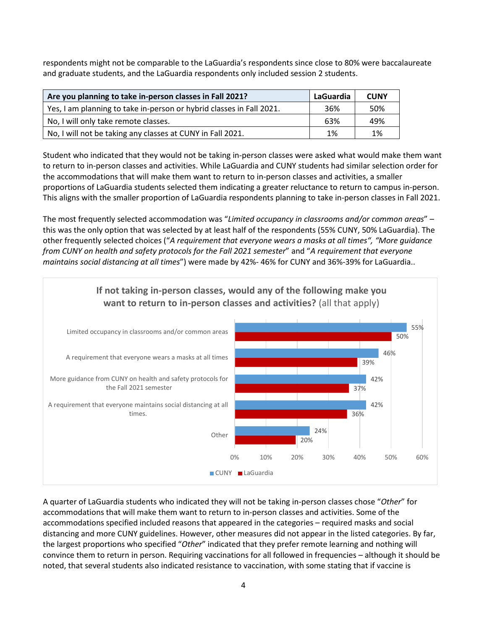respondents might not be comparable to the LaGuardia's respondents since close to 80% were baccalaureate and graduate students, and the LaGuardia respondents only included session 2 students.

| Are you planning to take in-person classes in Fall 2021?             | LaGuardia | <b>CUNY</b> |
|----------------------------------------------------------------------|-----------|-------------|
| Yes, I am planning to take in-person or hybrid classes in Fall 2021. | 36%       | 50%         |
| No, I will only take remote classes.                                 | 63%       | 49%         |
| No, I will not be taking any classes at CUNY in Fall 2021.           | 1%        | 1%          |

Student who indicated that they would not be taking in-person classes were asked what would make them want to return to in-person classes and activities. While LaGuardia and CUNY students had similar selection order for the accommodations that will make them want to return to in-person classes and activities, a smaller proportions of LaGuardia students selected them indicating a greater reluctance to return to campus in-person. This aligns with the smaller proportion of LaGuardia respondents planning to take in-person classes in Fall 2021.

The most frequently selected accommodation was "*Limited occupancy in classrooms and/or common areas*" – this was the only option that was selected by at least half of the respondents (55% CUNY, 50% LaGuardia). The other frequently selected choices ("*A requirement that everyone wears a masks at all times", "More guidance from CUNY on health and safety protocols for the Fall 2021 semester*" and "*A requirement that everyone maintains social distancing at all times*") were made by 42%- 46% for CUNY and 36%-39% for LaGuardia..



A quarter of LaGuardia students who indicated they will not be taking in-person classes chose "*Other*" for accommodations that will make them want to return to in-person classes and activities. Some of the accommodations specified included reasons that appeared in the categories – required masks and social distancing and more CUNY guidelines. However, other measures did not appear in the listed categories. By far, the largest proportions who specified "*Other*" indicated that they prefer remote learning and nothing will convince them to return in person. Requiring vaccinations for all followed in frequencies – although it should be noted, that several students also indicated resistance to vaccination, with some stating that if vaccine is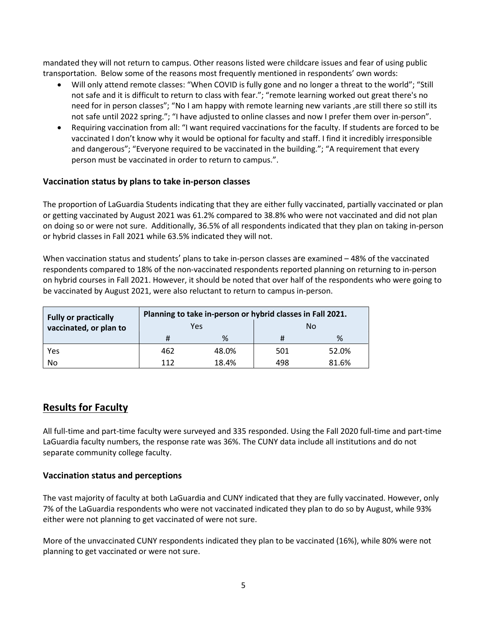mandated they will not return to campus. Other reasons listed were childcare issues and fear of using public transportation. Below some of the reasons most frequently mentioned in respondents' own words:

- Will only attend remote classes: "When COVID is fully gone and no longer a threat to the world"; "Still not safe and it is difficult to return to class with fear."; "remote learning worked out great there's no need for in person classes"; "No I am happy with remote learning new variants ,are still there so still its not safe until 2022 spring."; "I have adjusted to online classes and now I prefer them over in-person".
- Requiring vaccination from all: "I want required vaccinations for the faculty. If students are forced to be vaccinated I don't know why it would be optional for faculty and staff. I find it incredibly irresponsible and dangerous"; "Everyone required to be vaccinated in the building."; "A requirement that every person must be vaccinated in order to return to campus.".

#### **Vaccination status by plans to take in-person classes**

The proportion of LaGuardia Students indicating that they are either fully vaccinated, partially vaccinated or plan or getting vaccinated by August 2021 was 61.2% compared to 38.8% who were not vaccinated and did not plan on doing so or were not sure. Additionally, 36.5% of all respondents indicated that they plan on taking in-person or hybrid classes in Fall 2021 while 63.5% indicated they will not.

When vaccination status and students' plans to take in-person classes are examined – 48% of the vaccinated respondents compared to 18% of the non-vaccinated respondents reported planning on returning to in-person on hybrid courses in Fall 2021. However, it should be noted that over half of the respondents who were going to be vaccinated by August 2021, were also reluctant to return to campus in-person.

| <b>Fully or practically</b> | Planning to take in-person or hybrid classes in Fall 2021. |       |     |       |  |  |
|-----------------------------|------------------------------------------------------------|-------|-----|-------|--|--|
| vaccinated, or plan to      |                                                            | Yes   |     | No    |  |  |
|                             | Ħ                                                          | %     | #   | %     |  |  |
| Yes                         | 462                                                        | 48.0% | 501 | 52.0% |  |  |
| No                          | 112                                                        | 18.4% | 498 | 81.6% |  |  |

## **Results for Faculty**

All full-time and part-time faculty were surveyed and 335 responded. Using the Fall 2020 full-time and part-time LaGuardia faculty numbers, the response rate was 36%. The CUNY data include all institutions and do not separate community college faculty.

#### **Vaccination status and perceptions**

The vast majority of faculty at both LaGuardia and CUNY indicated that they are fully vaccinated. However, only 7% of the LaGuardia respondents who were not vaccinated indicated they plan to do so by August, while 93% either were not planning to get vaccinated of were not sure.

More of the unvaccinated CUNY respondents indicated they plan to be vaccinated (16%), while 80% were not planning to get vaccinated or were not sure.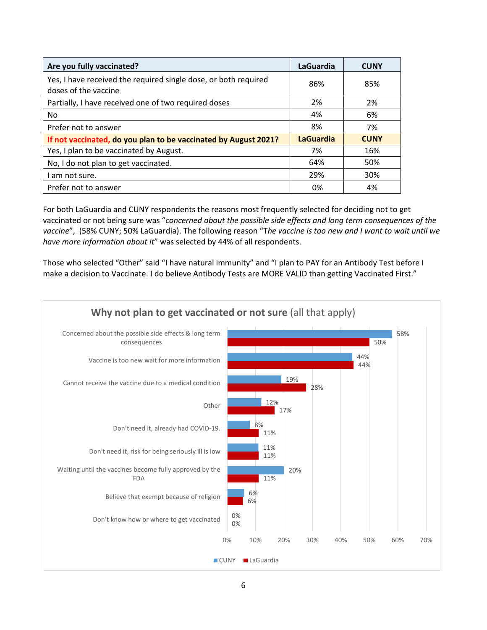| Are you fully vaccinated?                                                               | LaGuardia        | <b>CUNY</b> |
|-----------------------------------------------------------------------------------------|------------------|-------------|
| Yes, I have received the required single dose, or both required<br>doses of the vaccine | 86%              | 85%         |
| Partially, I have received one of two required doses                                    | 2%               | 2%          |
| No                                                                                      | 4%               | 6%          |
| Prefer not to answer                                                                    | 8%               | 7%          |
| If not vaccinated, do you plan to be vaccinated by August 2021?                         | <b>LaGuardia</b> | <b>CUNY</b> |
| Yes, I plan to be vaccinated by August.                                                 | 7%               | 16%         |
| No, I do not plan to get vaccinated.                                                    | 64%              | 50%         |
| am not sure.                                                                            | 29%              | 30%         |
| Prefer not to answer                                                                    | 0%               | 4%          |

For both LaGuardia and CUNY respondents the reasons most frequently selected for deciding not to get vaccinated or not being sure was "*concerned about the possible side effects and long term consequences of the vaccine*", (58% CUNY; 50% LaGuardia). The following reason "T*he vaccine is too new and I want to wait until we have more information about it*" was selected by 44% of all respondents.

Those who selected "Other" said "I have natural immunity" and "I plan to PAY for an Antibody Test before I make a decision to Vaccinate. I do believe Antibody Tests are MORE VALID than getting Vaccinated First."

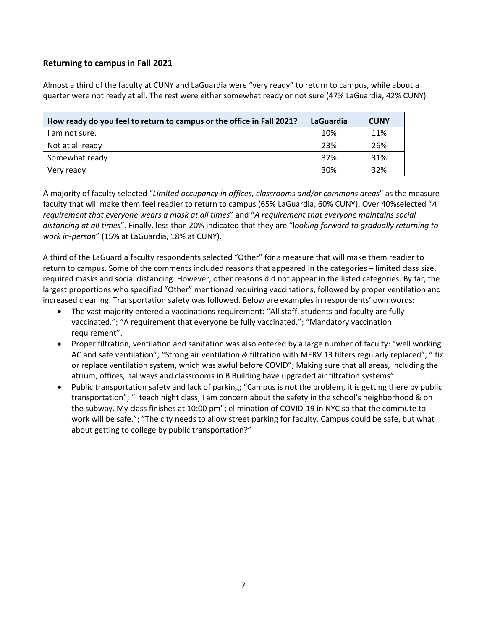#### **Returning to campus in Fall 2021**

Almost a third of the faculty at CUNY and LaGuardia were "very ready" to return to campus, while about a quarter were not ready at all. The rest were either somewhat ready or not sure (47% LaGuardia, 42% CUNY).

| How ready do you feel to return to campus or the office in Fall 2021? | LaGuardia | <b>CUNY</b> |
|-----------------------------------------------------------------------|-----------|-------------|
| I am not sure.                                                        | 10%       | 11%         |
| Not at all ready                                                      | 23%       | 26%         |
| Somewhat ready                                                        | 37%       | 31%         |
| Very ready                                                            | 30%       | 32%         |

A majority of faculty selected "*Limited occupancy in offices, classrooms and/or commons areas*" as the measure faculty that will make them feel readier to return to campus (65% LaGuardia, 60% CUNY). Over 40%selected "*A requirement that everyone wears a mask at all times*" and "*A requirement that everyone maintains social distancing at all times*". Finally, less than 20% indicated that they are "l*ooking forward to gradually returning to work in-person*" (15% at LaGuardia, 18% at CUNY).

A third of the LaGuardia faculty respondents selected "Other" for a measure that will make them readier to return to campus. Some of the comments included reasons that appeared in the categories – limited class size, required masks and social distancing. However, other reasons did not appear in the listed categories. By far, the largest proportions who specified "Other" mentioned requiring vaccinations, followed by proper ventilation and increased cleaning. Transportation safety was followed. Below are examples in respondents' own words:

- The vast majority entered a vaccinations requirement: "All staff, students and faculty are fully vaccinated."; "A requirement that everyone be fully vaccinated."; "Mandatory vaccination requirement".
- Proper filtration, ventilation and sanitation was also entered by a large number of faculty: "well working AC and safe ventilation"; "Strong air ventilation & filtration with MERV 13 filters regularly replaced"; " fix or replace ventilation system, which was awful before COVID"; Making sure that all areas, including the atrium, offices, hallways and classrooms in B Building have upgraded air filtration systems".
- Public transportation safety and lack of parking; "Campus is not the problem, it is getting there by public transportation"; "I teach night class, I am concern about the safety in the school's neighborhood & on the subway. My class finishes at 10:00 pm"; elimination of COVID-19 in NYC so that the commute to work will be safe."; "The city needs to allow street parking for faculty. Campus could be safe, but what about getting to college by public transportation?"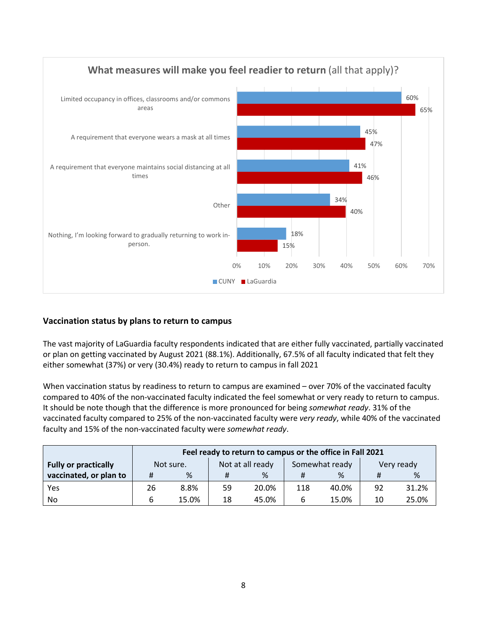

## **Vaccination status by plans to return to campus**

The vast majority of LaGuardia faculty respondents indicated that are either fully vaccinated, partially vaccinated or plan on getting vaccinated by August 2021 (88.1%). Additionally, 67.5% of all faculty indicated that felt they either somewhat (37%) or very (30.4%) ready to return to campus in fall 2021

When vaccination status by readiness to return to campus are examined – over 70% of the vaccinated faculty compared to 40% of the non-vaccinated faculty indicated the feel somewhat or very ready to return to campus. It should be note though that the difference is more pronounced for being *somewhat ready*. 31% of the vaccinated faculty compared to 25% of the non-vaccinated faculty were *very ready*, while 40% of the vaccinated faculty and 15% of the non-vaccinated faculty were *somewhat ready*.

|                             | Feel ready to return to campus or the office in Fall 2021 |                                                               |    |       |     |       |    |       |
|-----------------------------|-----------------------------------------------------------|---------------------------------------------------------------|----|-------|-----|-------|----|-------|
| <b>Fully or practically</b> |                                                           | Not at all ready<br>Somewhat ready<br>Not sure.<br>Very ready |    |       |     |       |    |       |
| vaccinated, or plan to      | #                                                         | %                                                             |    | %     |     | %     | #  | %     |
| Yes                         | 26                                                        | 8.8%                                                          | 59 | 20.0% | 118 | 40.0% | 92 | 31.2% |
| No.                         | 6                                                         | 15.0%                                                         | 18 | 45.0% | 6   | 15.0% | 10 | 25.0% |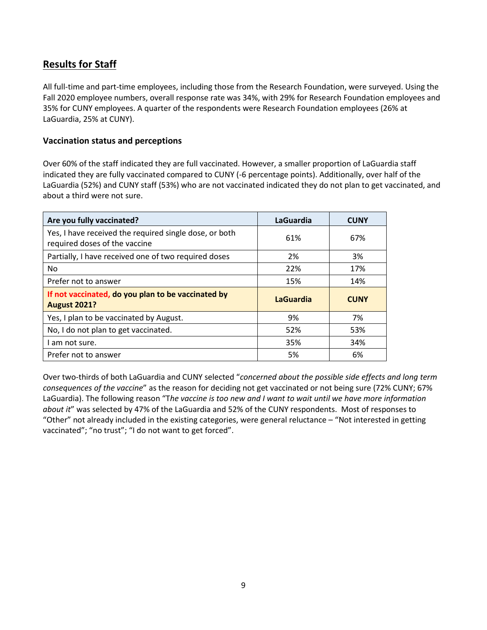# **Results for Staff**

All full-time and part-time employees, including those from the Research Foundation, were surveyed. Using the Fall 2020 employee numbers, overall response rate was 34%, with 29% for Research Foundation employees and 35% for CUNY employees. A quarter of the respondents were Research Foundation employees (26% at LaGuardia, 25% at CUNY).

#### **Vaccination status and perceptions**

Over 60% of the staff indicated they are full vaccinated. However, a smaller proportion of LaGuardia staff indicated they are fully vaccinated compared to CUNY (-6 percentage points). Additionally, over half of the LaGuardia (52%) and CUNY staff (53%) who are not vaccinated indicated they do not plan to get vaccinated, and about a third were not sure.

| Are you fully vaccinated?                                                               | <b>LaGuardia</b> | <b>CUNY</b> |
|-----------------------------------------------------------------------------------------|------------------|-------------|
| Yes, I have received the required single dose, or both<br>required doses of the vaccine | 61%              | 67%         |
| Partially, I have received one of two required doses                                    | 2%               | 3%          |
| No.                                                                                     | 22%              | 17%         |
| Prefer not to answer                                                                    | 15%              | 14%         |
| If not vaccinated, do you plan to be vaccinated by<br><b>August 2021?</b>               | <b>LaGuardia</b> | <b>CUNY</b> |
| Yes, I plan to be vaccinated by August.                                                 | 9%               | 7%          |
| No, I do not plan to get vaccinated.                                                    | 52%              | 53%         |
| I am not sure.                                                                          | 35%              | 34%         |
| Prefer not to answer                                                                    | 5%               | 6%          |

Over two-thirds of both LaGuardia and CUNY selected "*concerned about the possible side effects and long term consequences of the vaccine*" as the reason for deciding not get vaccinated or not being sure (72% CUNY; 67% LaGuardia). The following reason "T*he vaccine is too new and I want to wait until we have more information about it*" was selected by 47% of the LaGuardia and 52% of the CUNY respondents. Most of responses to "Other" not already included in the existing categories, were general reluctance – "Not interested in getting vaccinated"; "no trust"; "I do not want to get forced".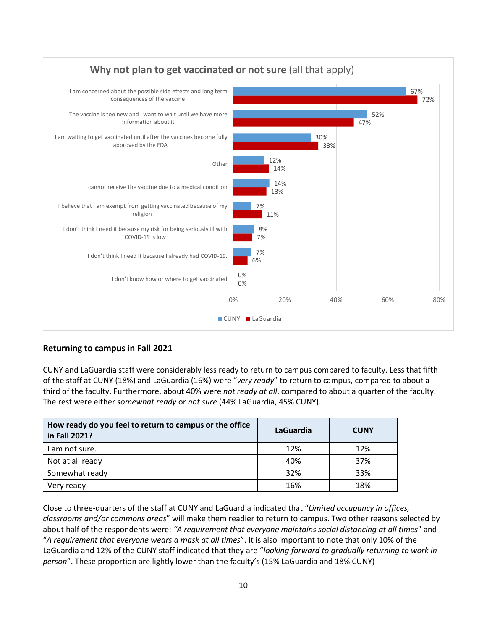

## **Returning to campus in Fall 2021**

CUNY and LaGuardia staff were considerably less ready to return to campus compared to faculty. Less that fifth of the staff at CUNY (18%) and LaGuardia (16%) were "*very ready*" to return to campus, compared to about a third of the faculty. Furthermore, about 40% were *not ready at all*, compared to about a quarter of the faculty. The rest were either *somewhat ready* or *not sure* (44% LaGuardia, 45% CUNY).

| How ready do you feel to return to campus or the office<br>in Fall 2021? | LaGuardia | <b>CUNY</b> |
|--------------------------------------------------------------------------|-----------|-------------|
| I am not sure.                                                           | 12%       | 12%         |
| Not at all ready                                                         | 40%       | 37%         |
| Somewhat ready                                                           | 32%       | 33%         |
| Very ready                                                               | 16%       | 18%         |

Close to three-quarters of the staff at CUNY and LaGuardia indicated that "*Limited occupancy in offices, classrooms and/or commons areas*" will make them readier to return to campus. Two other reasons selected by about half of the respondents were: *"A requirement that everyone maintains social distancing at all times*" and "*A requirement that everyone wears a mask at all times*". It is also important to note that only 10% of the LaGuardia and 12% of the CUNY staff indicated that they are "*looking forward to gradually returning to work inperson*". These proportion are lightly lower than the faculty's (15% LaGuardia and 18% CUNY)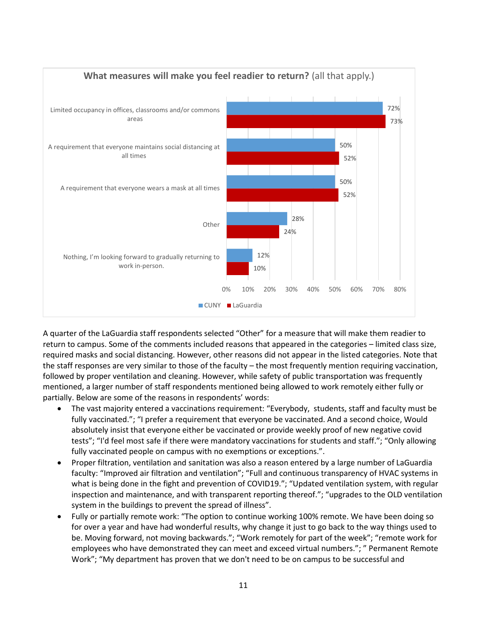

A quarter of the LaGuardia staff respondents selected "Other" for a measure that will make them readier to return to campus. Some of the comments included reasons that appeared in the categories – limited class size, required masks and social distancing. However, other reasons did not appear in the listed categories. Note that the staff responses are very similar to those of the faculty – the most frequently mention requiring vaccination, followed by proper ventilation and cleaning. However, while safety of public transportation was frequently mentioned, a larger number of staff respondents mentioned being allowed to work remotely either fully or partially. Below are some of the reasons in respondents' words:

- The vast majority entered a vaccinations requirement: "Everybody, students, staff and faculty must be fully vaccinated."; "I prefer a requirement that everyone be vaccinated. And a second choice, Would absolutely insist that everyone either be vaccinated or provide weekly proof of new negative covid tests"; "I'd feel most safe if there were mandatory vaccinations for students and staff."; "Only allowing fully vaccinated people on campus with no exemptions or exceptions.".
- Proper filtration, ventilation and sanitation was also a reason entered by a large number of LaGuardia faculty: "Improved air filtration and ventilation"; "Full and continuous transparency of HVAC systems in what is being done in the fight and prevention of COVID19."; "Updated ventilation system, with regular inspection and maintenance, and with transparent reporting thereof."; "upgrades to the OLD ventilation system in the buildings to prevent the spread of illness".
- Fully or partially remote work: "The option to continue working 100% remote. We have been doing so for over a year and have had wonderful results, why change it just to go back to the way things used to be. Moving forward, not moving backwards."; "Work remotely for part of the week"; "remote work for employees who have demonstrated they can meet and exceed virtual numbers."; " Permanent Remote Work"; "My department has proven that we don't need to be on campus to be successful and